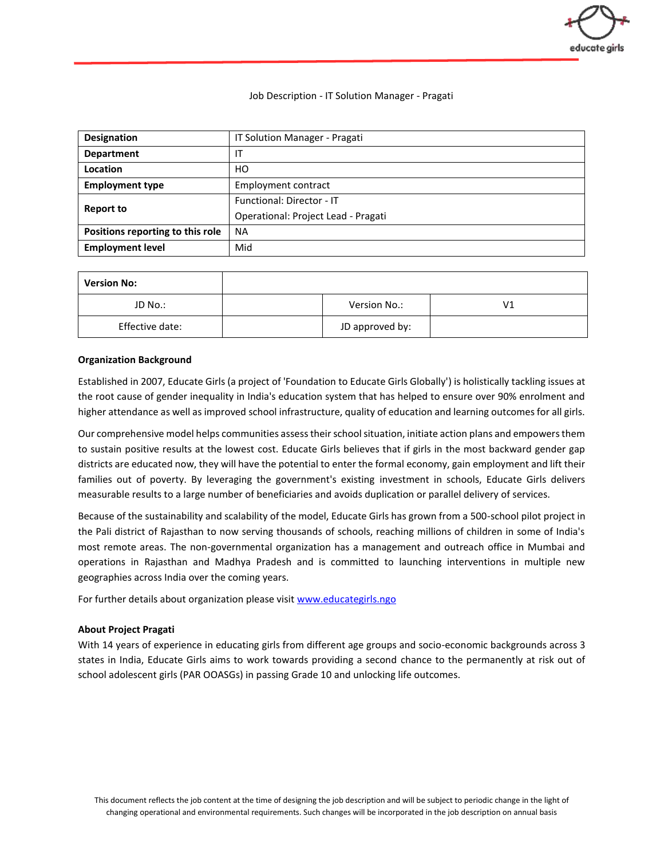

#### Job Description - IT Solution Manager - Pragati

| <b>Designation</b>               | IT Solution Manager - Pragati       |  |  |
|----------------------------------|-------------------------------------|--|--|
| <b>Department</b>                |                                     |  |  |
| <b>Location</b>                  | HО                                  |  |  |
| <b>Employment type</b>           | Employment contract                 |  |  |
| <b>Report to</b>                 | Functional: Director - IT           |  |  |
|                                  | Operational: Project Lead - Pragati |  |  |
| Positions reporting to this role | <b>NA</b>                           |  |  |
| <b>Employment level</b>          | Mid                                 |  |  |

| <b>Version No:</b> |                 |    |
|--------------------|-----------------|----|
| JD No.:            | Version No.:    | V1 |
| Effective date:    | JD approved by: |    |

#### **Organization Background**

Established in 2007, Educate Girls (a project of 'Foundation to Educate Girls Globally') is holistically tackling issues at the root cause of gender inequality in India's education system that has helped to ensure over 90% enrolment and higher attendance as well as improved school infrastructure, quality of education and learning outcomes for all girls.

Our comprehensive model helps communities assess their school situation, initiate action plans and empowers them to sustain positive results at the lowest cost. Educate Girls believes that if girls in the most backward gender gap districts are educated now, they will have the potential to enter the formal economy, gain employment and lift their families out of poverty. By leveraging the government's existing investment in schools, Educate Girls delivers measurable results to a large number of beneficiaries and avoids duplication or parallel delivery of services.

Because of the sustainability and scalability of the model, Educate Girls has grown from a 500-school pilot project in the Pali district of Rajasthan to now serving thousands of schools, reaching millions of children in some of India's most remote areas. The non-governmental organization has a management and outreach office in Mumbai and operations in Rajasthan and Madhya Pradesh and is committed to launching interventions in multiple new geographies across India over the coming years.

For further details about organization please visit [www.educategirls.ngo](http://www.educategirls.ngo/)

### **About Project Pragati**

With 14 years of experience in educating girls from different age groups and socio-economic backgrounds across 3 states in India, Educate Girls aims to work towards providing a second chance to the permanently at risk out of school adolescent girls (PAR OOASGs) in passing Grade 10 and unlocking life outcomes.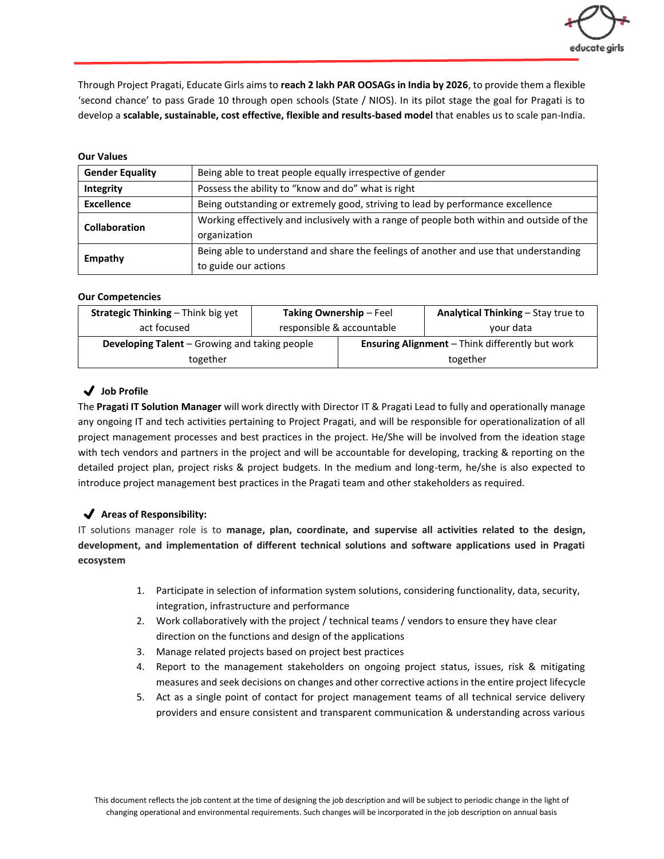

Through Project Pragati, Educate Girls aims to **reach 2 lakh PAR OOSAGs in India by 2026**, to provide them a flexible 'second chance' to pass Grade 10 through open schools (State / NIOS). In its pilot stage the goal for Pragati is to develop a **scalable, sustainable, cost effective, flexible and results-based model** that enables us to scale pan-India.

#### **Our Values**

| <b>Gender Equality</b> | Being able to treat people equally irrespective of gender                                 |  |  |
|------------------------|-------------------------------------------------------------------------------------------|--|--|
| Integrity              | Possess the ability to "know and do" what is right                                        |  |  |
| <b>Excellence</b>      | Being outstanding or extremely good, striving to lead by performance excellence           |  |  |
| Collaboration          | Working effectively and inclusively with a range of people both within and outside of the |  |  |
|                        | organization                                                                              |  |  |
| Empathy                | Being able to understand and share the feelings of another and use that understanding     |  |  |
|                        | to guide our actions                                                                      |  |  |

### **Our Competencies**

| <b>Strategic Thinking - Think big yet</b>            | <b>Taking Ownership - Feel</b> |                                                        | <b>Analytical Thinking - Stay true to</b> |
|------------------------------------------------------|--------------------------------|--------------------------------------------------------|-------------------------------------------|
| act focused                                          | responsible & accountable      |                                                        | your data                                 |
| <b>Developing Talent</b> – Growing and taking people |                                | <b>Ensuring Alignment</b> - Think differently but work |                                           |
| together                                             |                                |                                                        | together                                  |

# ✔ **Job Profile**

The **Pragati IT Solution Manager** will work directly with Director IT & Pragati Lead to fully and operationally manage any ongoing IT and tech activities pertaining to Project Pragati, and will be responsible for operationalization of all project management processes and best practices in the project. He/She will be involved from the ideation stage with tech vendors and partners in the project and will be accountable for developing, tracking & reporting on the detailed project plan, project risks & project budgets. In the medium and long-term, he/she is also expected to introduce project management best practices in the Pragati team and other stakeholders as required.

### ✔ **Areas of Responsibility:**

IT solutions manager role is to **manage, plan, coordinate, and supervise all activities related to the design, development, and implementation of different technical solutions and software applications used in Pragati ecosystem**

- 1. Participate in selection of information system solutions, considering functionality, data, security, integration, infrastructure and performance
- 2. Work collaboratively with the project / technical teams / vendors to ensure they have clear direction on the functions and design of the applications
- 3. Manage related projects based on project best practices
- 4. Report to the management stakeholders on ongoing project status, issues, risk & mitigating measures and seek decisions on changes and other corrective actions in the entire project lifecycle
- 5. Act as a single point of contact for project management teams of all technical service delivery providers and ensure consistent and transparent communication & understanding across various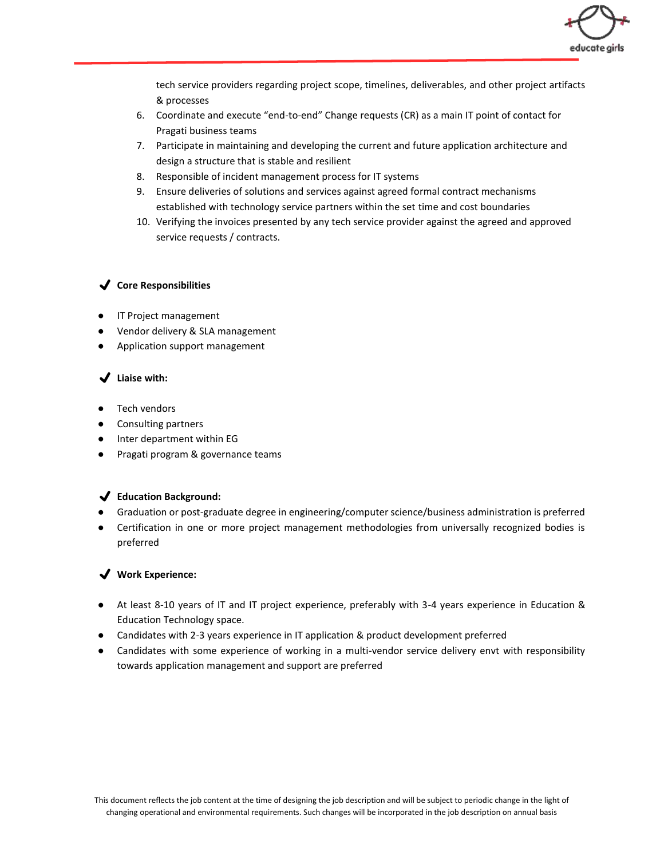

tech service providers regarding project scope, timelines, deliverables, and other project artifacts & processes

- 6. Coordinate and execute "end-to-end" Change requests (CR) as a main IT point of contact for Pragati business teams
- 7. Participate in maintaining and developing the current and future application architecture and design a structure that is stable and resilient
- 8. Responsible of incident management process for IT systems
- 9. Ensure deliveries of solutions and services against agreed formal contract mechanisms established with technology service partners within the set time and cost boundaries
- 10. Verifying the invoices presented by any tech service provider against the agreed and approved service requests / contracts.

# ✔ **Core Responsibilities**

- IT Project management
- Vendor delivery & SLA management
- Application support management

# ✔ **Liaise with:**

- Tech vendors
- Consulting partners
- Inter department within EG
- Pragati program & governance teams

# ✔ **Education Background:**

- Graduation or post-graduate degree in engineering/computer science/business administration is preferred
- Certification in one or more project management methodologies from universally recognized bodies is preferred

# ✔ **Work Experience:**

- At least 8-10 years of IT and IT project experience, preferably with 3-4 years experience in Education & Education Technology space.
- Candidates with 2-3 years experience in IT application & product development preferred
- Candidates with some experience of working in a multi-vendor service delivery envt with responsibility towards application management and support are preferred